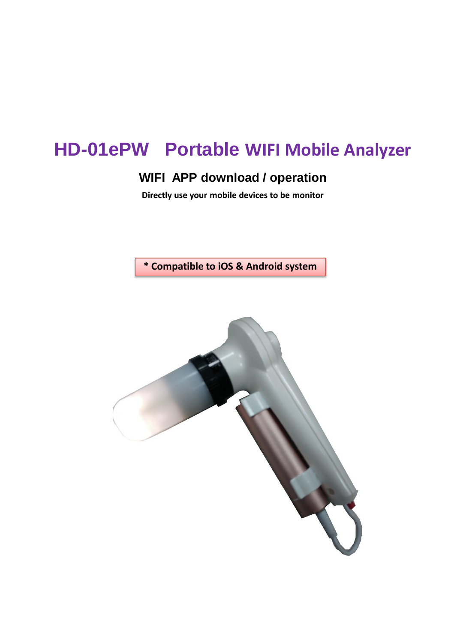# **HD-01ePW Portable WIFI Mobile Analyzer**

## **WIFI APP download / operation**

**Directly use your mobile devices to be monitor**

**\* Compatible to iOS & Android system**

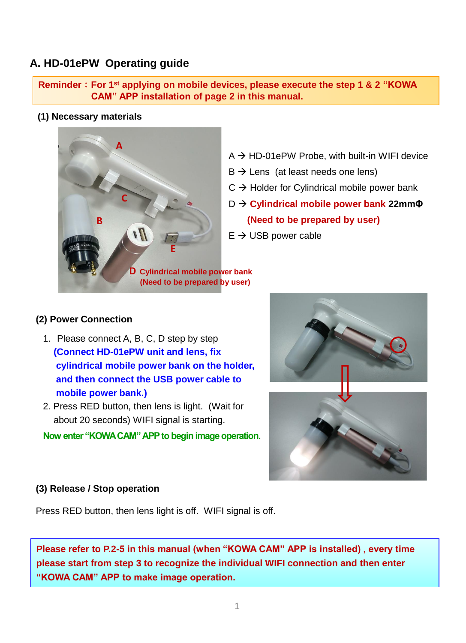## **A. HD-01ePW Operating guide**

**Reminder**:**For 1st applying on mobile devices, please execute the step 1 & 2 "KOWA CAM" APP installation of page 2 in this manual.**

**(1) Necessary materials**



- $A \rightarrow HD-01ePW$  Probe, with built-in WIFI device
- $B \rightarrow$  Lens (at least needs one lens)
- $C \rightarrow$  Holder for Cylindrical mobile power bank
- D → **Cylindrical mobile power bank 22mmΦ (Need to be prepared by user)**
- $E \rightarrow$  USB power cable

**D Cylindrical mobile power bank (Need to be prepared by user)**

#### **(2) Power Connection**

- 1. Please connect A, B, C, D step by step **(Connect HD-01ePW unit and lens, fix cylindrical mobile power bank on the holder, and then connect the USB power cable to mobile power bank.)**
- 2. Press RED button, then lens is light. (Wait for about 20 seconds) WIFI signal is starting.

**Now enter "KOWA CAM" APP to begin image operation.** 



#### **(3) Release / Stop operation**

Press RED button, then lens light is off. WIFI signal is off.

**Please refer to P.2-5 in this manual (when "KOWA CAM" APP is installed) , every time please start from step 3 to recognize the individual WIFI connection and then enter "KOWA CAM" APP to make image operation.**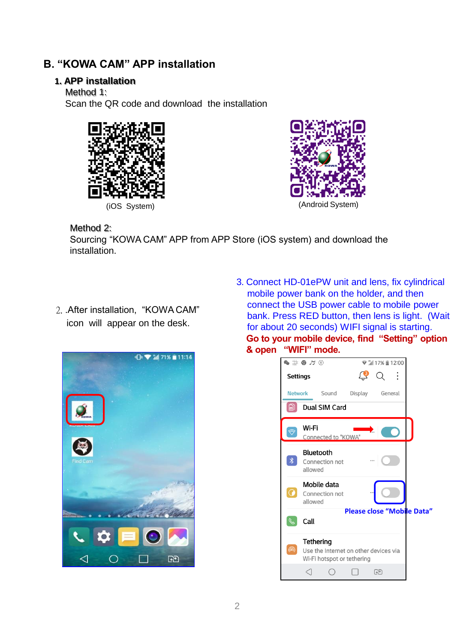## **B. "KOWA CAM" APP installation**

#### **1. APP installation**

Method 1:

Scan the QR code and download the installation





Method 2:

Sourcing "KOWA CAM" APP from APP Store (iOS system) and download the installation.

2. .After installation, "KOWA CAM" icon will appear on the desk.



3. Connect HD-01ePW unit and lens, fix cylindrical mobile power bank on the holder, and then connect the USB power cable to mobile power bank. Press RED button, then lens is light. (Wait for about 20 seconds) WIFI signal is starting. **Go to your mobile device, find "Setting" option & open "WIFI" mode.**

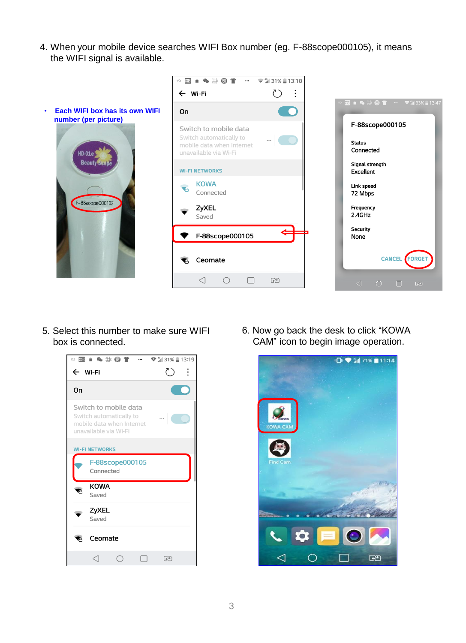4. When your mobile device searches WIFI Box number (eg. F-88scope000105), it means the WIFI signal is available.



5. Select this number to make sure WIFI box is connected.



6. Now go back the desk to click "KOWA CAM" icon to begin image operation.

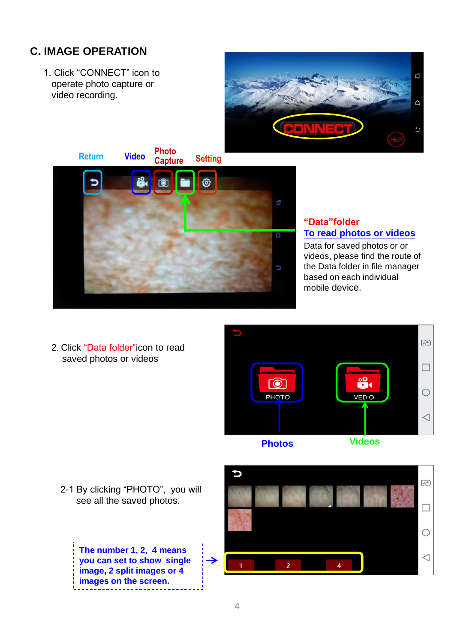## **C. IMAGE OPERATION**

1. Click "CONNECT" icon to operate photo capture or video recording.





**"Data"folder To read photos or videos**

Data for saved photos or or videos, please find the route of the Data folder in file manager based on each individual mobile device.

2. Click "Data folder"icon to read saved photos or videos



2-1 By clicking "PHOTO", you will see all the saved photos.